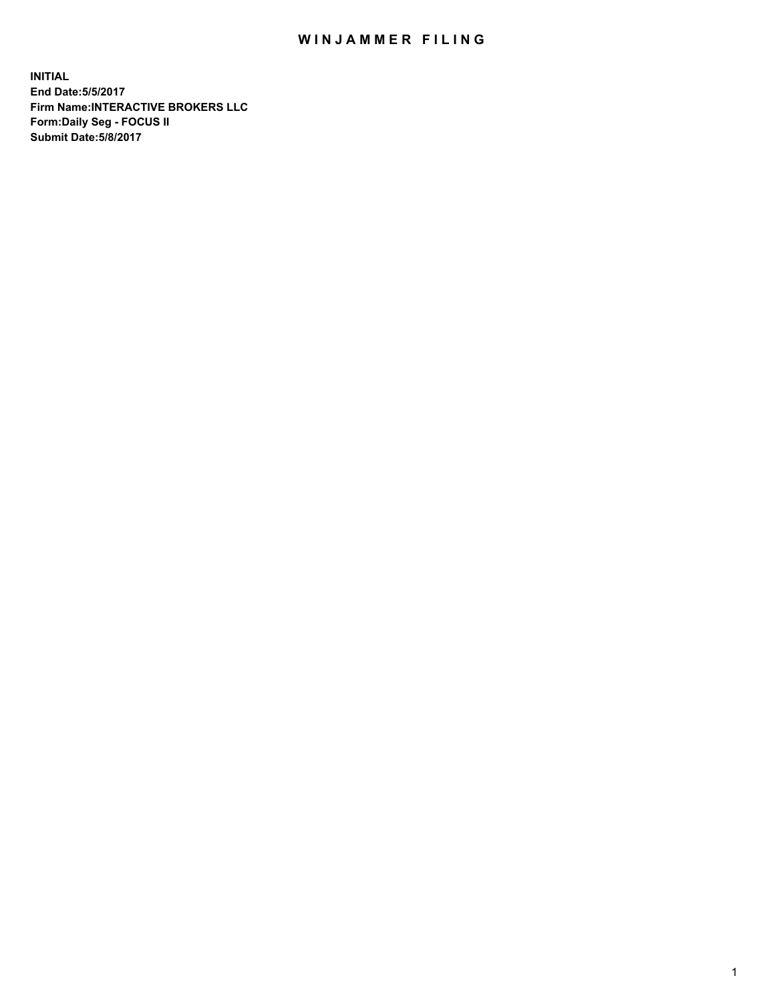## WIN JAMMER FILING

**INITIAL End Date:5/5/2017 Firm Name:INTERACTIVE BROKERS LLC Form:Daily Seg - FOCUS II Submit Date:5/8/2017**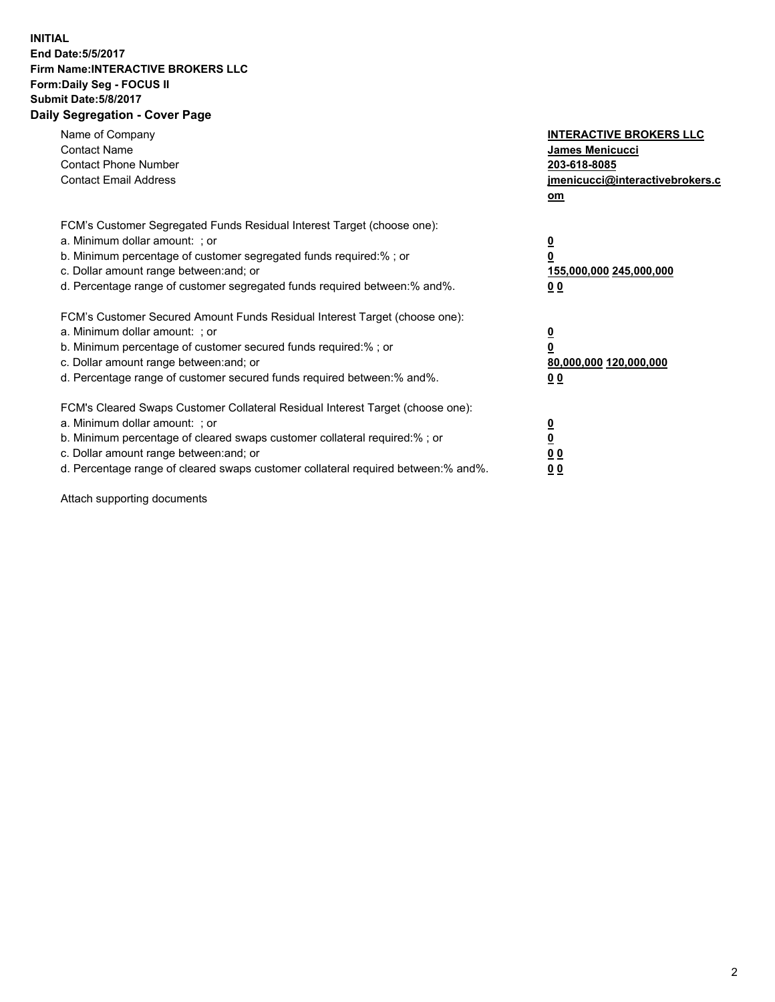## **INITIAL End Date:5/5/2017 Firm Name:INTERACTIVE BROKERS LLC Form:Daily Seg - FOCUS II Submit Date:5/8/2017 Daily Segregation - Cover Page**

| Name of Company<br><b>Contact Name</b><br><b>Contact Phone Number</b><br><b>Contact Email Address</b>                                                                                                                                                                                                                          | <b>INTERACTIVE BROKERS LLC</b><br>James Menicucci<br>203-618-8085<br>jmenicucci@interactivebrokers.c<br>om |
|--------------------------------------------------------------------------------------------------------------------------------------------------------------------------------------------------------------------------------------------------------------------------------------------------------------------------------|------------------------------------------------------------------------------------------------------------|
| FCM's Customer Segregated Funds Residual Interest Target (choose one):<br>a. Minimum dollar amount: ; or<br>b. Minimum percentage of customer segregated funds required:% ; or<br>c. Dollar amount range between: and; or<br>d. Percentage range of customer segregated funds required between:% and%.                         | $\overline{\mathbf{0}}$<br>0<br>155,000,000 245,000,000<br>0 <sub>0</sub>                                  |
| FCM's Customer Secured Amount Funds Residual Interest Target (choose one):<br>a. Minimum dollar amount: ; or<br>b. Minimum percentage of customer secured funds required:%; or<br>c. Dollar amount range between: and; or<br>d. Percentage range of customer secured funds required between: % and %.                          | $\overline{\mathbf{0}}$<br>$\overline{\mathbf{0}}$<br>80,000,000 120,000,000<br>00                         |
| FCM's Cleared Swaps Customer Collateral Residual Interest Target (choose one):<br>a. Minimum dollar amount: ; or<br>b. Minimum percentage of cleared swaps customer collateral required:% ; or<br>c. Dollar amount range between: and; or<br>d. Percentage range of cleared swaps customer collateral required between:% and%. | $\underline{\mathbf{0}}$<br>$\underline{\mathbf{0}}$<br>0 <sub>0</sub><br>0 <sub>0</sub>                   |

Attach supporting documents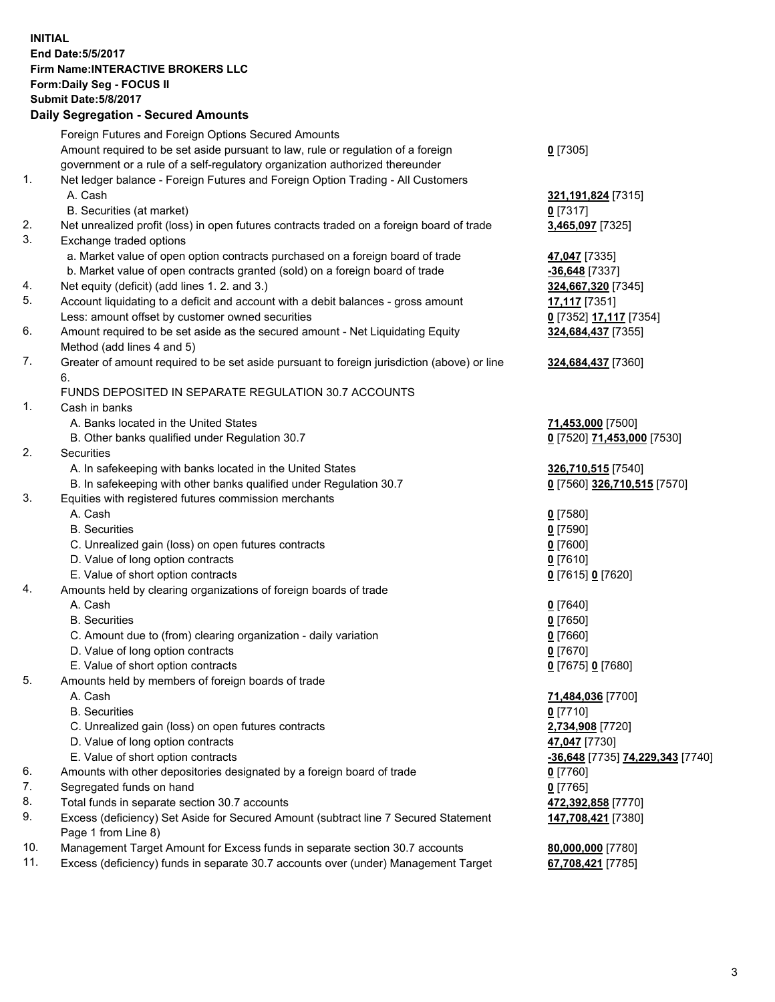## **INITIAL End Date:5/5/2017 Firm Name:INTERACTIVE BROKERS LLC Form:Daily Seg - FOCUS II Submit Date:5/8/2017 Daily Segregation - Secured Amounts**

|     | Foreign Futures and Foreign Options Secured Amounts                                         |                                  |
|-----|---------------------------------------------------------------------------------------------|----------------------------------|
|     | Amount required to be set aside pursuant to law, rule or regulation of a foreign            | $0$ [7305]                       |
|     | government or a rule of a self-regulatory organization authorized thereunder                |                                  |
| 1.  | Net ledger balance - Foreign Futures and Foreign Option Trading - All Customers             |                                  |
|     | A. Cash                                                                                     | 321,191,824 [7315]               |
|     | B. Securities (at market)                                                                   | $0$ [7317]                       |
| 2.  | Net unrealized profit (loss) in open futures contracts traded on a foreign board of trade   | 3,465,097 [7325]                 |
| 3.  | Exchange traded options                                                                     |                                  |
|     | a. Market value of open option contracts purchased on a foreign board of trade              | 47,047 [7335]                    |
|     | b. Market value of open contracts granted (sold) on a foreign board of trade                | $-36,648$ [7337]                 |
| 4.  | Net equity (deficit) (add lines 1.2. and 3.)                                                |                                  |
| 5.  |                                                                                             | 324,667,320 [7345]               |
|     | Account liquidating to a deficit and account with a debit balances - gross amount           | <b>17,117</b> [7351]             |
|     | Less: amount offset by customer owned securities                                            | 0 [7352] 17,117 [7354]           |
| 6.  | Amount required to be set aside as the secured amount - Net Liquidating Equity              | 324,684,437 [7355]               |
|     | Method (add lines 4 and 5)                                                                  |                                  |
| 7.  | Greater of amount required to be set aside pursuant to foreign jurisdiction (above) or line | 324,684,437 [7360]               |
|     | 6.                                                                                          |                                  |
|     | FUNDS DEPOSITED IN SEPARATE REGULATION 30.7 ACCOUNTS                                        |                                  |
| 1.  | Cash in banks                                                                               |                                  |
|     | A. Banks located in the United States                                                       | 71,453,000 [7500]                |
|     | B. Other banks qualified under Regulation 30.7                                              | 0 [7520] 71,453,000 [7530]       |
| 2.  | Securities                                                                                  |                                  |
|     | A. In safekeeping with banks located in the United States                                   | 326,710,515 [7540]               |
|     | B. In safekeeping with other banks qualified under Regulation 30.7                          | 0 [7560] 326,710,515 [7570]      |
| 3.  | Equities with registered futures commission merchants                                       |                                  |
|     | A. Cash                                                                                     | $0$ [7580]                       |
|     | <b>B.</b> Securities                                                                        | $0$ [7590]                       |
|     | C. Unrealized gain (loss) on open futures contracts                                         | $0$ [7600]                       |
|     | D. Value of long option contracts                                                           | $0$ [7610]                       |
|     | E. Value of short option contracts                                                          | 0 [7615] 0 [7620]                |
| 4.  | Amounts held by clearing organizations of foreign boards of trade                           |                                  |
|     | A. Cash                                                                                     | $0$ [7640]                       |
|     | <b>B.</b> Securities                                                                        | $0$ [7650]                       |
|     | C. Amount due to (from) clearing organization - daily variation                             | $0$ [7660]                       |
|     | D. Value of long option contracts                                                           | $0$ [7670]                       |
|     | E. Value of short option contracts                                                          | 0 [7675] 0 [7680]                |
| 5.  | Amounts held by members of foreign boards of trade                                          |                                  |
|     | A. Cash                                                                                     | 71,484,036 [7700]                |
|     | <b>B.</b> Securities                                                                        | $0$ [7710]                       |
|     | C. Unrealized gain (loss) on open futures contracts                                         | 2,734,908 [7720]                 |
|     | D. Value of long option contracts                                                           | 47,047 [7730]                    |
|     | E. Value of short option contracts                                                          | -36,648 [7735] 74,229,343 [7740] |
| 6.  | Amounts with other depositories designated by a foreign board of trade                      | $0$ [7760]                       |
| 7.  | Segregated funds on hand                                                                    | $0$ [7765]                       |
| 8.  | Total funds in separate section 30.7 accounts                                               | 472,392,858 [7770]               |
| 9.  | Excess (deficiency) Set Aside for Secured Amount (subtract line 7 Secured Statement         | 147,708,421 [7380]               |
|     | Page 1 from Line 8)                                                                         |                                  |
| 10. | Management Target Amount for Excess funds in separate section 30.7 accounts                 | 80,000,000 [7780]                |
| 11. | Excess (deficiency) funds in separate 30.7 accounts over (under) Management Target          | 67,708,421 [7785]                |
|     |                                                                                             |                                  |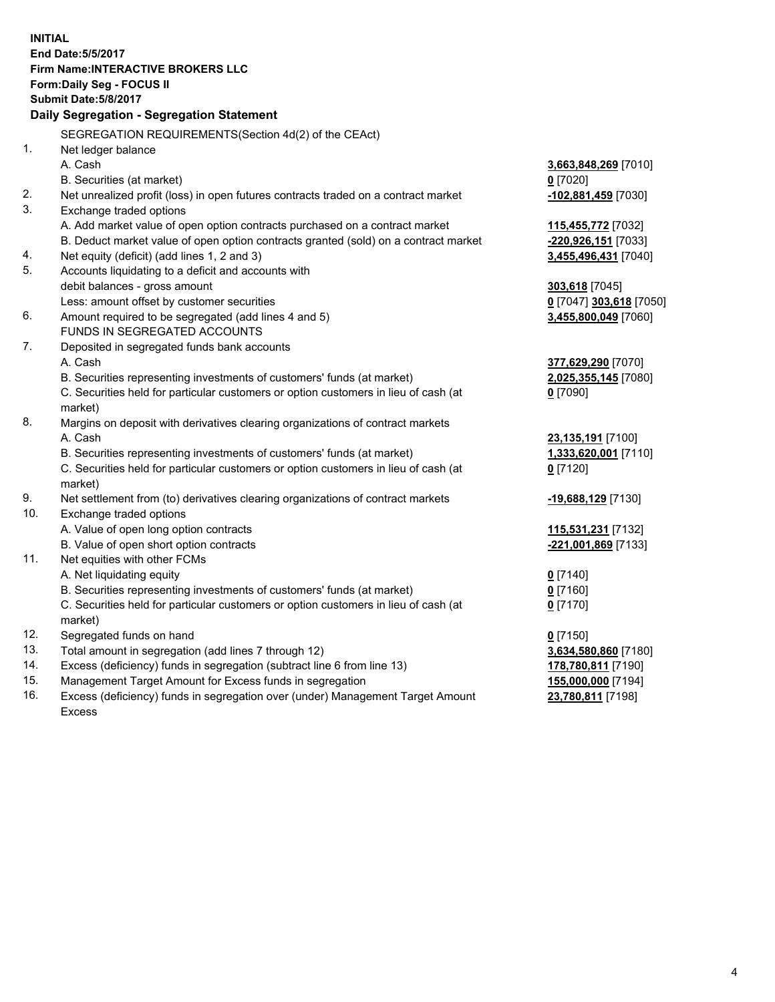**INITIAL End Date:5/5/2017 Firm Name:INTERACTIVE BROKERS LLC Form:Daily Seg - FOCUS II Submit Date:5/8/2017 Daily Segregation - Segregation Statement** SEGREGATION REQUIREMENTS(Section 4d(2) of the CEAct) 1. Net ledger balance A. Cash **3,663,848,269** [7010] B. Securities (at market) **0** [7020] 2. Net unrealized profit (loss) in open futures contracts traded on a contract market **-102,881,459** [7030] 3. Exchange traded options A. Add market value of open option contracts purchased on a contract market **115,455,772** [7032] B. Deduct market value of open option contracts granted (sold) on a contract market **-220,926,151** [7033] 4. Net equity (deficit) (add lines 1, 2 and 3) **3,455,496,431** [7040] 5. Accounts liquidating to a deficit and accounts with debit balances - gross amount **303,618** [7045] Less: amount offset by customer securities **0** [7047] **303,618** [7050] 6. Amount required to be segregated (add lines 4 and 5) **3,455,800,049** [7060] FUNDS IN SEGREGATED ACCOUNTS 7. Deposited in segregated funds bank accounts A. Cash **377,629,290** [7070] B. Securities representing investments of customers' funds (at market) **2,025,355,145** [7080] C. Securities held for particular customers or option customers in lieu of cash (at market) **0** [7090] 8. Margins on deposit with derivatives clearing organizations of contract markets A. Cash **23,135,191** [7100] B. Securities representing investments of customers' funds (at market) **1,333,620,001** [7110] C. Securities held for particular customers or option customers in lieu of cash (at market) **0** [7120] 9. Net settlement from (to) derivatives clearing organizations of contract markets **-19,688,129** [7130] 10. Exchange traded options A. Value of open long option contracts **115,531,231** [7132] B. Value of open short option contracts **-221,001,869** [7133] 11. Net equities with other FCMs A. Net liquidating equity **0** [7140] B. Securities representing investments of customers' funds (at market) **0** [7160] C. Securities held for particular customers or option customers in lieu of cash (at market) **0** [7170] 12. Segregated funds on hand **0** [7150] 13. Total amount in segregation (add lines 7 through 12) **3,634,580,860** [7180] 14. Excess (deficiency) funds in segregation (subtract line 6 from line 13) **178,780,811** [7190] 15. Management Target Amount for Excess funds in segregation **155,000,000** [7194] 16. Excess (deficiency) funds in segregation over (under) Management Target Amount **23,780,811** [7198]

Excess